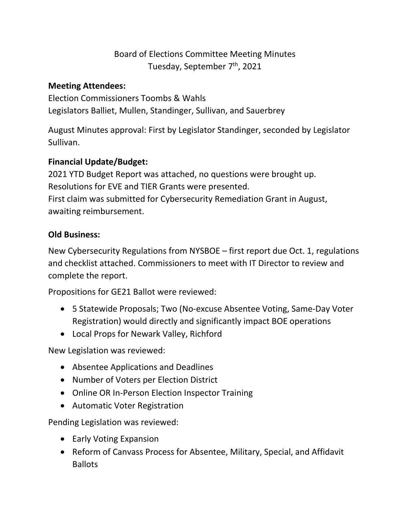# Board of Elections Committee Meeting Minutes Tuesday, September 7<sup>th</sup>, 2021

## **Meeting Attendees:**

Election Commissioners Toombs & Wahls Legislators Balliet, Mullen, Standinger, Sullivan, and Sauerbrey

August Minutes approval: First by Legislator Standinger, seconded by Legislator Sullivan.

## **Financial Update/Budget:**

2021 YTD Budget Report was attached, no questions were brought up. Resolutions for EVE and TIER Grants were presented. First claim was submitted for Cybersecurity Remediation Grant in August, awaiting reimbursement.

## **Old Business:**

New Cybersecurity Regulations from NYSBOE – first report due Oct. 1, regulations and checklist attached. Commissioners to meet with IT Director to review and complete the report.

Propositions for GE21 Ballot were reviewed:

- 5 Statewide Proposals; Two (No-excuse Absentee Voting, Same-Day Voter Registration) would directly and significantly impact BOE operations
- Local Props for Newark Valley, Richford

New Legislation was reviewed:

- Absentee Applications and Deadlines
- Number of Voters per Election District
- Online OR In-Person Election Inspector Training
- Automatic Voter Registration

Pending Legislation was reviewed:

- Early Voting Expansion
- Reform of Canvass Process for Absentee, Military, Special, and Affidavit Ballots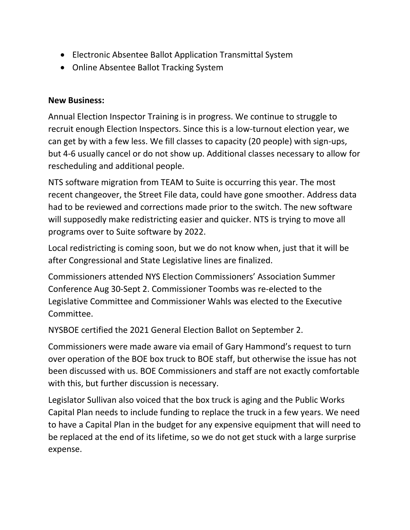- Electronic Absentee Ballot Application Transmittal System
- Online Absentee Ballot Tracking System

### **New Business:**

Annual Election Inspector Training is in progress. We continue to struggle to recruit enough Election Inspectors. Since this is a low-turnout election year, we can get by with a few less. We fill classes to capacity (20 people) with sign-ups, but 4-6 usually cancel or do not show up. Additional classes necessary to allow for rescheduling and additional people.

NTS software migration from TEAM to Suite is occurring this year. The most recent changeover, the Street File data, could have gone smoother. Address data had to be reviewed and corrections made prior to the switch. The new software will supposedly make redistricting easier and quicker. NTS is trying to move all programs over to Suite software by 2022.

Local redistricting is coming soon, but we do not know when, just that it will be after Congressional and State Legislative lines are finalized.

Commissioners attended NYS Election Commissioners' Association Summer Conference Aug 30-Sept 2. Commissioner Toombs was re-elected to the Legislative Committee and Commissioner Wahls was elected to the Executive Committee.

NYSBOE certified the 2021 General Election Ballot on September 2.

Commissioners were made aware via email of Gary Hammond's request to turn over operation of the BOE box truck to BOE staff, but otherwise the issue has not been discussed with us. BOE Commissioners and staff are not exactly comfortable with this, but further discussion is necessary.

Legislator Sullivan also voiced that the box truck is aging and the Public Works Capital Plan needs to include funding to replace the truck in a few years. We need to have a Capital Plan in the budget for any expensive equipment that will need to be replaced at the end of its lifetime, so we do not get stuck with a large surprise expense.